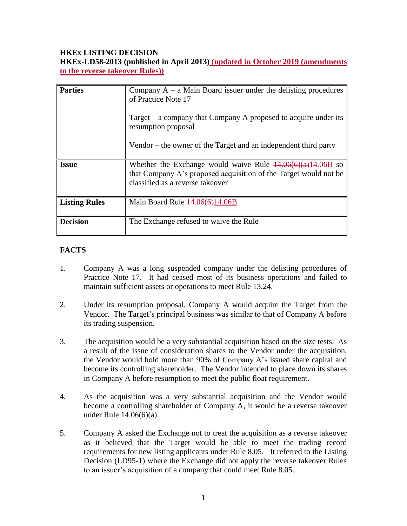# **HKEx LISTING DECISION**

**HKEx-LD58-2013 (published in April 2013) (updated in October 2019 (amendments to the reverse takeover Rules))**

| <b>Parties</b>       | Company $A - a$ Main Board issuer under the delisting procedures<br>of Practice Note 17<br>Target $-$ a company that Company A proposed to acquire under its<br>resumption proposal<br>Vendor – the owner of the Target and an independent third party |
|----------------------|--------------------------------------------------------------------------------------------------------------------------------------------------------------------------------------------------------------------------------------------------------|
| <b>Issue</b>         | Whether the Exchange would waive Rule $\frac{44.06(6)(a)}{14.06B}$ so<br>that Company A's proposed acquisition of the Target would not be<br>classified as a reverse takeover                                                                          |
| <b>Listing Rules</b> | Main Board Rule $\frac{14,06(6)}{14,06B}$                                                                                                                                                                                                              |
| <b>Decision</b>      | The Exchange refused to waive the Rule                                                                                                                                                                                                                 |

# **FACTS**

- 1. Company A was a long suspended company under the delisting procedures of Practice Note 17. It had ceased most of its business operations and failed to maintain sufficient assets or operations to meet Rule 13.24.
- 2. Under its resumption proposal, Company A would acquire the Target from the Vendor. The Target's principal business was similar to that of Company A before its trading suspension.
- 3. The acquisition would be a very substantial acquisition based on the size tests. As a result of the issue of consideration shares to the Vendor under the acquisition, the Vendor would hold more than 90% of Company A's issued share capital and become its controlling shareholder. The Vendor intended to place down its shares in Company A before resumption to meet the public float requirement.
- 4. As the acquisition was a very substantial acquisition and the Vendor would become a controlling shareholder of Company A, it would be a reverse takeover under Rule 14.06(6)(a).
- 5. Company A asked the Exchange not to treat the acquisition as a reverse takeover as it believed that the Target would be able to meet the trading record requirements for new listing applicants under Rule 8.05. It referred to the Listing Decision (LD95-1) where the Exchange did not apply the reverse takeover Rules to an issuer's acquisition of a company that could meet Rule 8.05.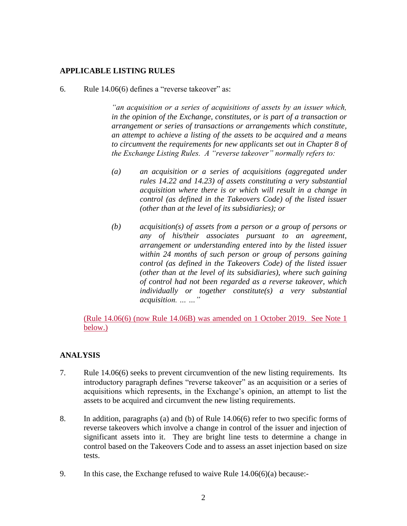### **APPLICABLE LISTING RULES**

6. Rule 14.06(6) defines a "reverse takeover" as:

*"an acquisition or a series of acquisitions of assets by an issuer which, in the opinion of the Exchange, constitutes, or is part of a transaction or arrangement or series of transactions or arrangements which constitute, an attempt to achieve a listing of the assets to be acquired and a means to circumvent the requirements for new applicants set out in Chapter 8 of the Exchange Listing Rules. A "reverse takeover" normally refers to:*

- *(a) an acquisition or a series of acquisitions (aggregated under rules 14.22 and 14.23) of assets constituting a very substantial acquisition where there is or which will result in a change in control (as defined in the Takeovers Code) of the listed issuer (other than at the level of its subsidiaries); or*
- *(b) acquisition(s) of assets from a person or a group of persons or any of his/their associates pursuant to an agreement, arrangement or understanding entered into by the listed issuer within 24 months of such person or group of persons gaining control (as defined in the Takeovers Code) of the listed issuer (other than at the level of its subsidiaries), where such gaining of control had not been regarded as a reverse takeover, which individually or together constitute(s) a very substantial acquisition. … …"*

(Rule 14.06(6) (now Rule 14.06B) was amended on 1 October 2019. See Note 1 below.)

### **ANALYSIS**

- 7. Rule 14.06(6) seeks to prevent circumvention of the new listing requirements. Its introductory paragraph defines "reverse takeover" as an acquisition or a series of acquisitions which represents, in the Exchange's opinion, an attempt to list the assets to be acquired and circumvent the new listing requirements.
- 8. In addition, paragraphs (a) and (b) of Rule 14.06(6) refer to two specific forms of reverse takeovers which involve a change in control of the issuer and injection of significant assets into it. They are bright line tests to determine a change in control based on the Takeovers Code and to assess an asset injection based on size tests.
- 9. In this case, the Exchange refused to waive Rule 14.06(6)(a) because:-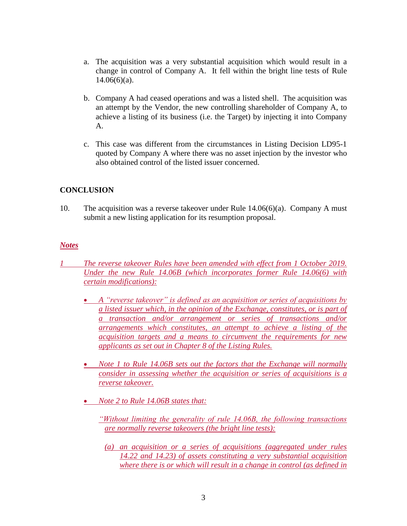- a. The acquisition was a very substantial acquisition which would result in a change in control of Company A. It fell within the bright line tests of Rule  $14.06(6)(a)$ .
- b. Company A had ceased operations and was a listed shell. The acquisition was an attempt by the Vendor, the new controlling shareholder of Company A, to achieve a listing of its business (i.e. the Target) by injecting it into Company A.
- c. This case was different from the circumstances in Listing Decision LD95-1 quoted by Company A where there was no asset injection by the investor who also obtained control of the listed issuer concerned.

# **CONCLUSION**

10. The acquisition was a reverse takeover under Rule 14.06(6)(a). Company A must submit a new listing application for its resumption proposal.

### *Notes*

- *1 The reverse takeover Rules have been amended with effect from 1 October 2019. Under the new Rule 14.06B (which incorporates former Rule 14.06(6) with certain modifications):*
	- *A "reverse takeover" is defined as an acquisition or series of acquisitions by a listed issuer which, in the opinion of the Exchange, constitutes, or is part of a transaction and/or arrangement or series of transactions and/or arrangements which constitutes, an attempt to achieve a listing of the acquisition targets and a means to circumvent the requirements for new applicants as set out in Chapter 8 of the Listing Rules.*
	- *Note 1 to Rule 14.06B sets out the factors that the Exchange will normally consider in assessing whether the acquisition or series of acquisitions is a reverse takeover.*
	- *Note 2 to Rule 14.06B states that:*
		- *"Without limiting the generality of rule 14.06B, the following transactions are normally reverse takeovers (the bright line tests):*
			- *(a) an acquisition or a series of acquisitions (aggregated under rules 14.22 and 14.23) of assets constituting a very substantial acquisition where there is or which will result in a change in control (as defined in*